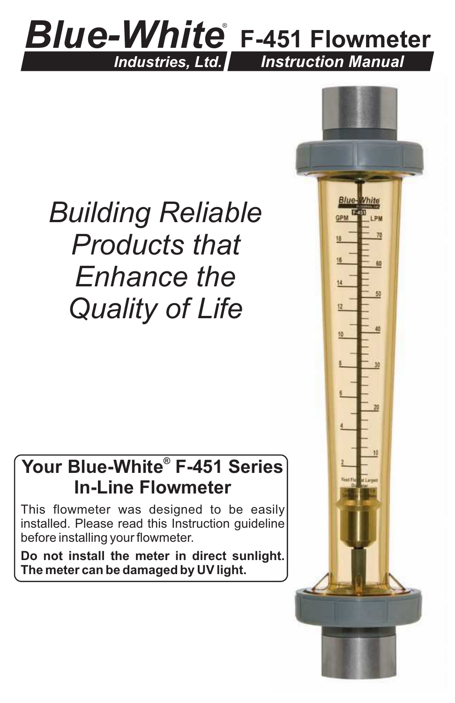## *Blue-White* ®  **F-451 Flowmeter** *Industries, Ltd. Instruction Manual*

## *Building Reliable Products that Enhance the Quality of Life*

## **® Your Blue-White F-451 Series In-Line Flowmeter**

This flowmeter was designed to be easily installed. Please read this Instruction guideline before installing your flowmeter.

**Do not install the meter in direct sunlight. The meter can be damaged by UV light.**

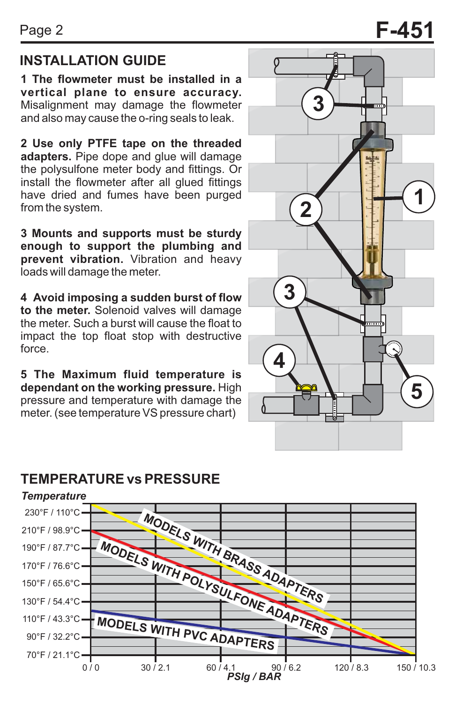## **INSTALLATION GUIDE EXPLOSITION**

**1 The flowmeter must be installed in a vertical plane to ensure accuracy.**  Misalignment may damage the flowmeter and also may cause the o-ring seals to leak.

**2 Use only PTFE tape on the threaded adapters.** Pipe dope and glue will damage the polysulfone meter body and fittings. Or install the flowmeter after all glued fittings have dried and fumes have been purged from the system.

**3 Mounts and supports must be sturdy enough to support the plumbing and prevent vibration.** Vibration and heavy loads will damage the meter.

**4 Avoid imposing a sudden burst of flow to the meter.** Solenoid valves will damage the meter. Such a burst will cause the float to impact the top float stop with destructive force.

**5 The Maximum fluid temperature is dependant on the working pressure.** High pressure and temperature with damage the meter. (see temperature VS pressure chart)

## **TEMPERATURE vs PRESSURE**



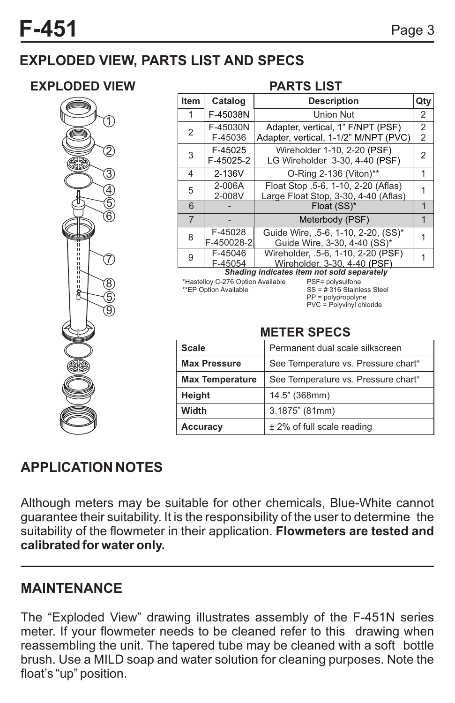## **EXPLODED VIEW, PARTS LIST AND SPECS**

### **EXPLODED VIEW PARTS LIST**



| Item                                                      | Catalog               | <b>Description</b>                                                          | Qty                 |  |
|-----------------------------------------------------------|-----------------------|-----------------------------------------------------------------------------|---------------------|--|
| 1                                                         | F-45038N              | <b>Union Nut</b>                                                            | 2                   |  |
| 2                                                         | F-45030N<br>F-45036   | Adapter, vertical, 1" F/NPT (PSF)<br>Adapter, vertical, 1-1/2" M/NPT (PVC)  | $\overline{2}$<br>2 |  |
| 3                                                         | F-45025<br>F-45025-2  | Wireholder 1-10, 2-20 (PSF)<br>LG Wireholder 3-30, 4-40 (PSF)               | 2                   |  |
| 4                                                         | 2-136V                | O-Ring 2-136 (Viton)**                                                      |                     |  |
| 5                                                         | 2-006A<br>2-008V      | Float Stop .5-6, 1-10, 2-20 (Aflas)<br>Large Float Stop, 3-30, 4-40 (Aflas) |                     |  |
| 6                                                         |                       | Float (SS)*                                                                 |                     |  |
| $\overline{7}$                                            |                       | Meterbody (PSF)                                                             |                     |  |
| 8                                                         | F-45028<br>F-450028-2 | Guide Wire, .5-6, 1-10, 2-20, (SS)*<br>Guide Wire, 3-30, 4-40 (SS)*         |                     |  |
| 9                                                         | F-45046<br>F-45054    | Wireholder, .5-6, 1-10, 2-20 (PSF)<br>Wireholder, 3-30, 4-40 (PSF)          |                     |  |
| 0 km - Itaar ta - Itaar taar ta'u canaan san kale san san |                       |                                                                             |                     |  |

#### *Shading indicates item not sold separately*

\*Hastelloy C-276 Option Available \*\*EP Option Available

PSF= polysulfone SS = # 316 Stainless Steel PP = polypropolyne PVC = Polyvinyl chloride

### **METER SPECS**

| <b>Scale</b>           | Permanent dual scale silkscreen     |
|------------------------|-------------------------------------|
| <b>Max Pressure</b>    | See Temperature vs. Pressure chart* |
| <b>Max Temperature</b> | See Temperature vs. Pressure chart* |
| Height                 | 14.5" (368mm)                       |
| Width                  | 3.1875" (81mm)                      |
| <b>Accuracy</b>        | ± 2% of full scale reading          |

## **APPLICATION NOTES**

Although meters may be suitable for other chemicals, Blue-White cannot guarantee their suitability. It is the responsibility of the user to determine the suitability of the flowmeter in their application. **Flowmeters are tested and calibrated for water only.**

### **MAINTENANCE**

The "Exploded View" drawing illustrates assembly of the F-451N series meter. If your flowmeter needs to be cleaned refer to this drawing when reassembling the unit. The tapered tube may be cleaned with a soft bottle brush. Use a MILD soap and water solution for cleaning purposes. Note the float's "up" position.